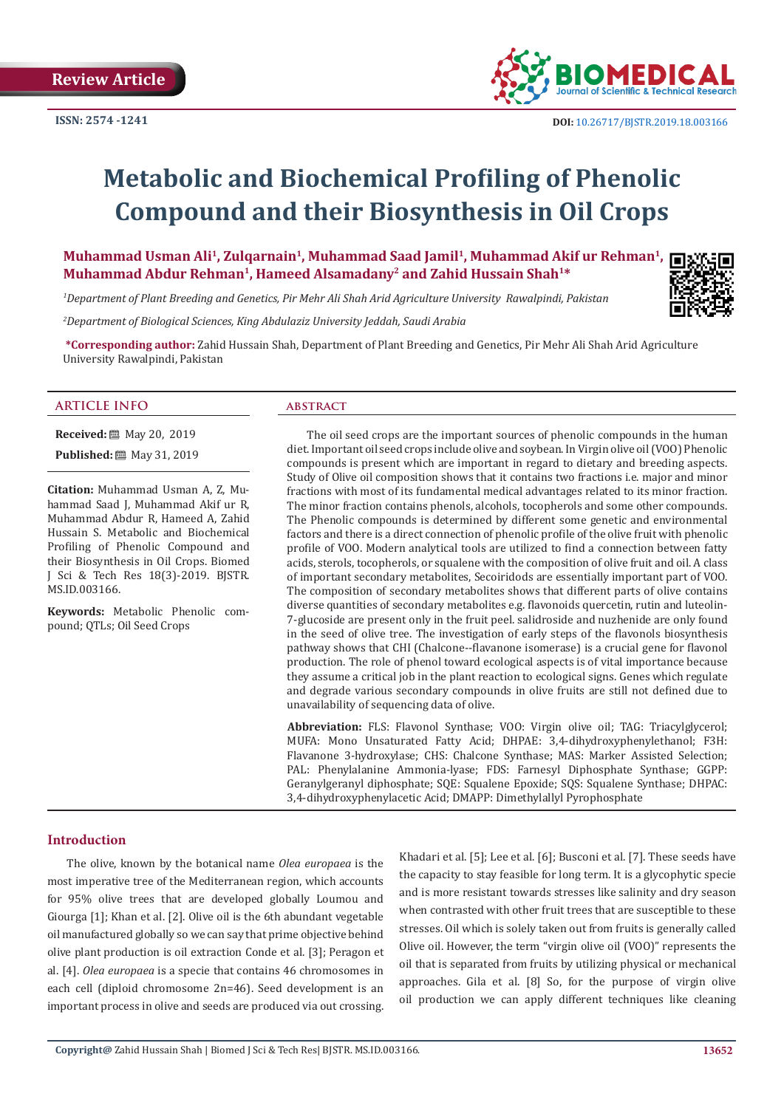

# **Metabolic and Biochemical Profiling of Phenolic Compound and their Biosynthesis in Oil Crops**

**Muhammad Usman Ali1, Zulqarnain1, Muhammad Saad Jamil1, Muhammad Akif ur Rehman1,**  Muhammad Abdur Rehman<sup>1</sup>, Hameed Alsamadany<sup>2</sup> and Zahid Hussain Shah<sup>1\*</sup>

*1 Department of Plant Breeding and Genetics, Pir Mehr Ali Shah Arid Agriculture University Rawalpindi, Pakistan*

*2 Department of Biological Sciences, King Abdulaziz University Jeddah, Saudi Arabia*

**\*Corresponding author:** Zahid Hussain Shah, Department of Plant Breeding and Genetics, Pir Mehr Ali Shah Arid Agriculture University Rawalpindi, Pakistan

#### **ARTICLE INFO abstract**

**Received:** 圖 May 20, 2019 **Published:** 圖 May 31, 2019

**Citation:** Muhammad Usman A, Z, Muhammad Saad J, Muhammad Akif ur R, Muhammad Abdur R, Hameed A, Zahid Hussain S. Metabolic and Biochemical Profiling of Phenolic Compound and their Biosynthesis in Oil Crops. Biomed J Sci & Tech Res 18(3)-2019. BJSTR. MS.ID.003166.

**Keywords:** Metabolic Phenolic compound; QTLs; Oil Seed Crops

The oil seed crops are the important sources of phenolic compounds in the human diet. Important oil seed crops include olive and soybean. In Virgin olive oil (VOO) Phenolic compounds is present which are important in regard to dietary and breeding aspects. Study of Olive oil composition shows that it contains two fractions i.e. major and minor fractions with most of its fundamental medical advantages related to its minor fraction. The minor fraction contains phenols, alcohols, tocopherols and some other compounds. The Phenolic compounds is determined by different some genetic and environmental factors and there is a direct connection of phenolic profile of the olive fruit with phenolic profile of VOO. Modern analytical tools are utilized to find a connection between fatty acids, sterols, tocopherols, or squalene with the composition of olive fruit and oil. A class of important secondary metabolites, Secoiridods are essentially important part of VOO. The composition of secondary metabolites shows that different parts of olive contains diverse quantities of secondary metabolites e.g. flavonoids quercetin, rutin and luteolin-7-glucoside are present only in the fruit peel. salidroside and nuzhenide are only found in the seed of olive tree. The investigation of early steps of the flavonols biosynthesis pathway shows that CHI (Chalcone--flavanone isomerase) is a crucial gene for flavonol production. The role of phenol toward ecological aspects is of vital importance because they assume a critical job in the plant reaction to ecological signs. Genes which regulate and degrade various secondary compounds in olive fruits are still not defined due to unavailability of sequencing data of olive.

**Abbreviation:** FLS: Flavonol Synthase; VOO: Virgin olive oil; TAG: Triacylglycerol; MUFA: Mono Unsaturated Fatty Acid; DHPAE: 3,4-dihydroxyphenylethanol; F3H: Flavanone 3-hydroxylase; CHS: Chalcone Synthase; MAS: Marker Assisted Selection; PAL: Phenylalanine Ammonia-lyase; FDS: Farnesyl Diphosphate Synthase; GGPP: Geranylgeranyl diphosphate; SQE: Squalene Epoxide; SQS: Squalene Synthase; DHPAC: 3,4-dihydroxyphenylacetic Acid; DMAPP: Dimethylallyl Pyrophosphate

# **Introduction**

The olive, known by the botanical name *Olea europaea* is the most imperative tree of the Mediterranean region, which accounts for 95% olive trees that are developed globally Loumou and Giourga [1]; Khan et al. [2]. Olive oil is the 6th abundant vegetable oil manufactured globally so we can say that prime objective behind olive plant production is oil extraction Conde et al. [3]; Peragon et al. [4]. *Olea europaea* is a specie that contains 46 chromosomes in each cell (diploid chromosome 2n=46). Seed development is an important process in olive and seeds are produced via out crossing.

Khadari et al. [5]; Lee et al. [6]; Busconi et al. [7]. These seeds have the capacity to stay feasible for long term. It is a glycophytic specie and is more resistant towards stresses like salinity and dry season when contrasted with other fruit trees that are susceptible to these stresses. Oil which is solely taken out from fruits is generally called Olive oil. However, the term "virgin olive oil (VOO)" represents the oil that is separated from fruits by utilizing physical or mechanical approaches. Gila et al. [8] So, for the purpose of virgin olive oil production we can apply different techniques like cleaning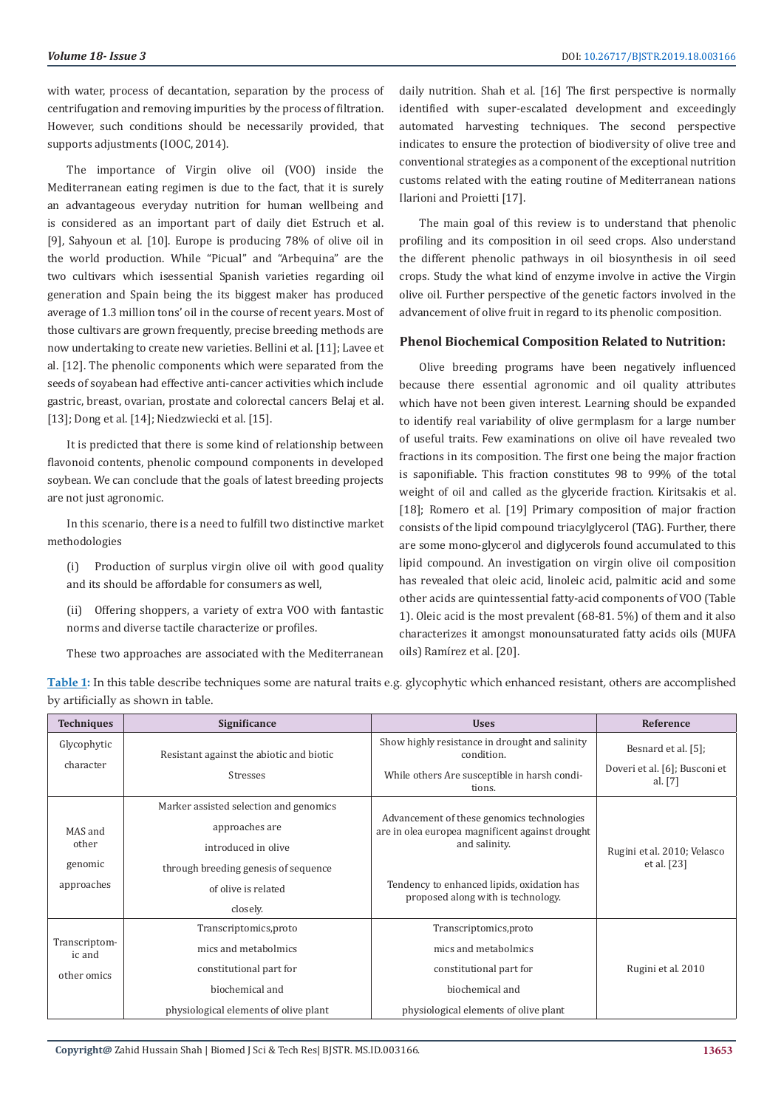with water, process of decantation, separation by the process of centrifugation and removing impurities by the process of filtration. However, such conditions should be necessarily provided, that supports adjustments (IOOC, 2014).

The importance of Virgin olive oil (VOO) inside the Mediterranean eating regimen is due to the fact, that it is surely an advantageous everyday nutrition for human wellbeing and is considered as an important part of daily diet Estruch et al. [9], Sahyoun et al. [10]. Europe is producing 78% of olive oil in the world production. While "Picual" and "Arbequina" are the two cultivars which isessential Spanish varieties regarding oil generation and Spain being the its biggest maker has produced average of 1.3 million tons' oil in the course of recent years. Most of those cultivars are grown frequently, precise breeding methods are now undertaking to create new varieties. Bellini et al. [11]; Lavee et al. [12]. The phenolic components which were separated from the seeds of soyabean had effective anti-cancer activities which include gastric, breast, ovarian, prostate and colorectal cancers Belaj et al. [13]; Dong et al. [14]; Niedzwiecki et al. [15].

It is predicted that there is some kind of relationship between flavonoid contents, phenolic compound components in developed soybean. We can conclude that the goals of latest breeding projects are not just agronomic.

In this scenario, there is a need to fulfill two distinctive market methodologies

(i) Production of surplus virgin olive oil with good quality and its should be affordable for consumers as well,

(ii) Offering shoppers, a variety of extra VOO with fantastic norms and diverse tactile characterize or profiles.

These two approaches are associated with the Mediterranean

daily nutrition. Shah et al. [16] The first perspective is normally identified with super-escalated development and exceedingly automated harvesting techniques. The second perspective indicates to ensure the protection of biodiversity of olive tree and conventional strategies as a component of the exceptional nutrition customs related with the eating routine of Mediterranean nations Ilarioni and Proietti [17].

The main goal of this review is to understand that phenolic profiling and its composition in oil seed crops. Also understand the different phenolic pathways in oil biosynthesis in oil seed crops. Study the what kind of enzyme involve in active the Virgin olive oil. Further perspective of the genetic factors involved in the advancement of olive fruit in regard to its phenolic composition.

## **Phenol Biochemical Composition Related to Nutrition:**

Olive breeding programs have been negatively influenced because there essential agronomic and oil quality attributes which have not been given interest. Learning should be expanded to identify real variability of olive germplasm for a large number of useful traits. Few examinations on olive oil have revealed two fractions in its composition. The first one being the major fraction is saponifiable. This fraction constitutes 98 to 99% of the total weight of oil and called as the glyceride fraction. Kiritsakis et al. [18]; Romero et al. [19] Primary composition of major fraction consists of the lipid compound triacylglycerol (TAG). Further, there are some mono-glycerol and diglycerols found accumulated to this lipid compound. An investigation on virgin olive oil composition has revealed that oleic acid, linoleic acid, palmitic acid and some other acids are quintessential fatty-acid components of VOO (Table 1). Oleic acid is the most prevalent (68-81. 5%) of them and it also characterizes it amongst monounsaturated fatty acids oils (MUFA oils) Ramírez et al. [20].

**Table 1:** In this table describe techniques some are natural traits e.g. glycophytic which enhanced resistant, others are accomplished by artificially as shown in table.

| <b>Techniques</b>       | Significance                             | <b>Uses</b>                                                                                   | Reference                                  |
|-------------------------|------------------------------------------|-----------------------------------------------------------------------------------------------|--------------------------------------------|
| Glycophytic             | Resistant against the abiotic and biotic | Show highly resistance in drought and salinity<br>condition.                                  | Besnard et al. $[5]$ ;                     |
| character               | Stresses                                 | While others Are susceptible in harsh condi-<br>tions.                                        | Doveri et al. [6]; Busconi et<br>al. $[7]$ |
|                         | Marker assisted selection and genomics   |                                                                                               | Rugini et al. 2010; Velasco                |
| MAS and                 | approaches are                           | Advancement of these genomics technologies<br>are in olea europea magnificent against drought |                                            |
| other                   | introduced in olive                      | and salinity.                                                                                 |                                            |
| genomic                 | through breeding genesis of sequence     |                                                                                               | et al. $[23]$                              |
| approaches              | of olive is related                      | Tendency to enhanced lipids, oxidation has<br>proposed along with is technology.              |                                            |
|                         | closely.                                 |                                                                                               |                                            |
|                         | Transcriptomics, proto                   | Transcriptomics, proto                                                                        |                                            |
| Transcriptom-<br>ic and | mics and metabolmics                     | mics and metabolmics                                                                          |                                            |
| other omics             | constitutional part for                  | constitutional part for                                                                       | Rugini et al. 2010                         |
|                         | biochemical and                          | biochemical and                                                                               |                                            |
|                         | physiological elements of olive plant    | physiological elements of olive plant                                                         |                                            |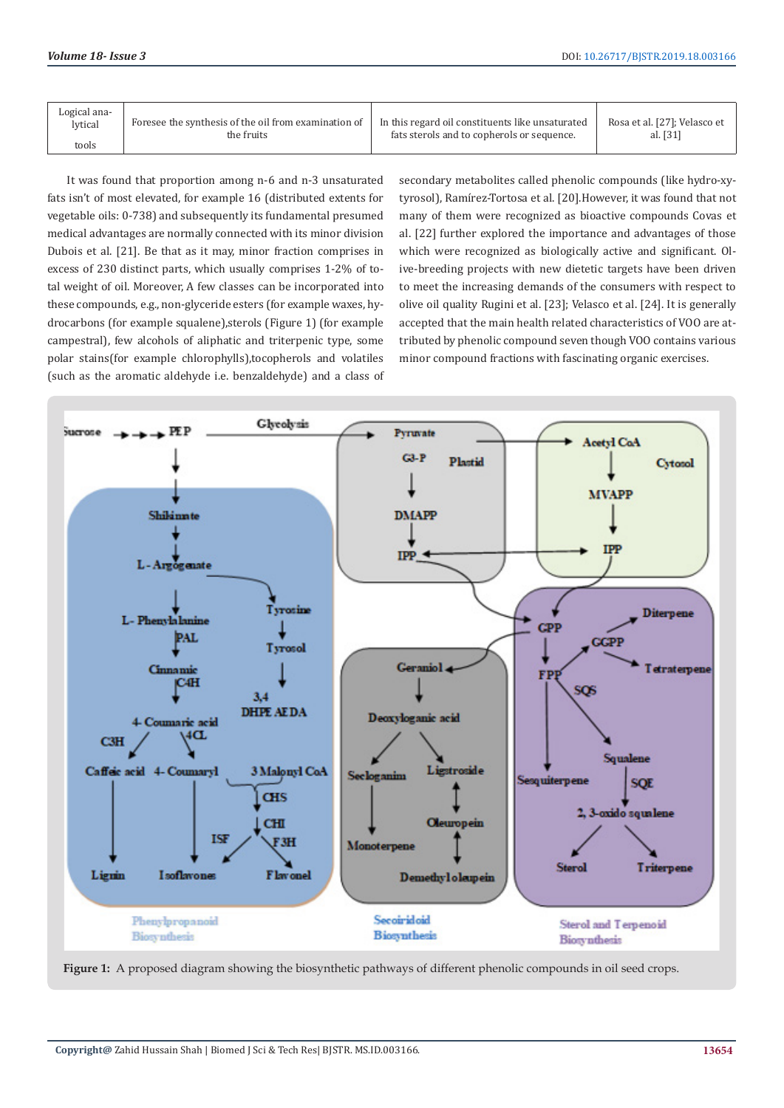| Logical ana- | Foresee the synthesis of the oil from examination of | In this regard oil constituents like unsaturated | Rosa et al. [27]; Velasco et |
|--------------|------------------------------------------------------|--------------------------------------------------|------------------------------|
| lytical      | the fruits                                           | fats sterols and to copherols or sequence.       | al. [31]                     |
| tools        |                                                      |                                                  |                              |

It was found that proportion among n-6 and n-3 unsaturated fats isn't of most elevated, for example 16 (distributed extents for vegetable oils: 0-738) and subsequently its fundamental presumed medical advantages are normally connected with its minor division Dubois et al. [21]. Be that as it may, minor fraction comprises in excess of 230 distinct parts, which usually comprises 1-2% of total weight of oil. Moreover, A few classes can be incorporated into these compounds, e.g., non-glyceride esters (for example waxes, hydrocarbons (for example squalene),sterols (Figure 1) (for example campestral), few alcohols of aliphatic and triterpenic type, some polar stains(for example chlorophylls),tocopherols and volatiles (such as the aromatic aldehyde i.e. benzaldehyde) and a class of secondary metabolites called phenolic compounds (like hydro-xytyrosol), Ramírez-Tortosa et al. [20].However, it was found that not many of them were recognized as bioactive compounds Covas et al. [22] further explored the importance and advantages of those which were recognized as biologically active and significant. Olive-breeding projects with new dietetic targets have been driven to meet the increasing demands of the consumers with respect to olive oil quality Rugini et al. [23]; Velasco et al. [24]. It is generally accepted that the main health related characteristics of VOO are attributed by phenolic compound seven though VOO contains various minor compound fractions with fascinating organic exercises.



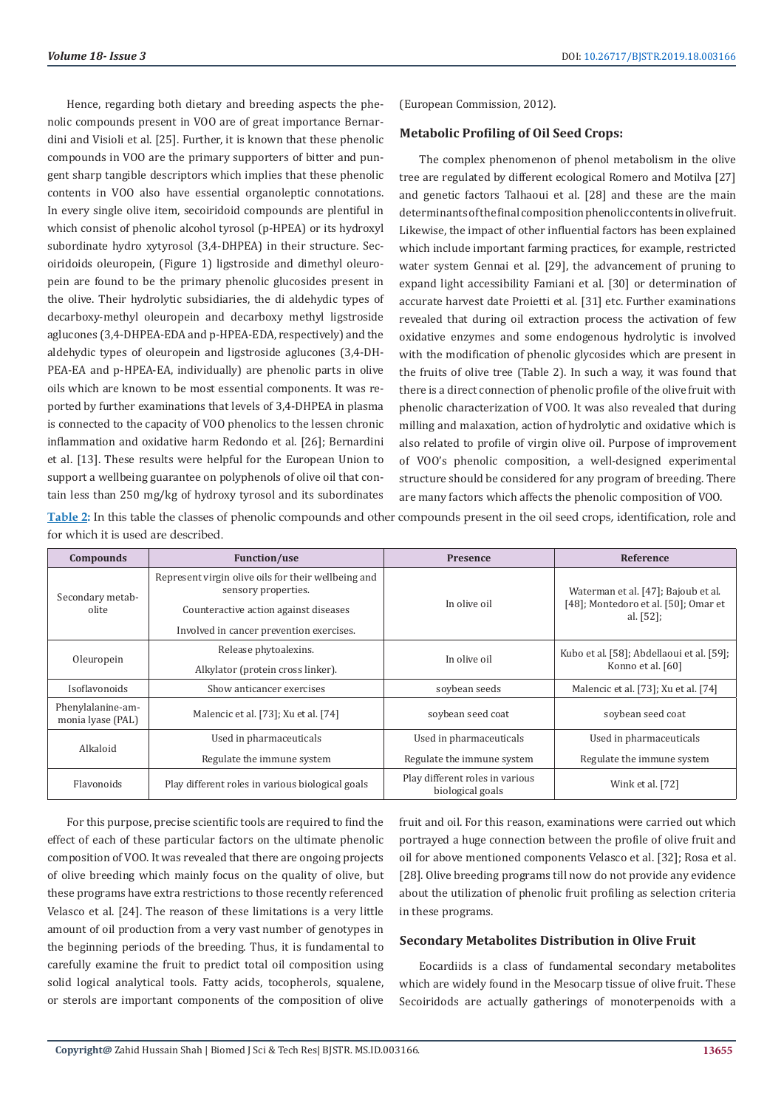Hence, regarding both dietary and breeding aspects the phenolic compounds present in VOO are of great importance Bernardini and Visioli et al. [25]. Further, it is known that these phenolic compounds in VOO are the primary supporters of bitter and pungent sharp tangible descriptors which implies that these phenolic contents in VOO also have essential organoleptic connotations. In every single olive item, secoiridoid compounds are plentiful in which consist of phenolic alcohol tyrosol (p-HPEA) or its hydroxyl subordinate hydro xytyrosol (3,4-DHPEA) in their structure. Secoiridoids oleuropein, (Figure 1) ligstroside and dimethyl oleuropein are found to be the primary phenolic glucosides present in the olive. Their hydrolytic subsidiaries, the di aldehydic types of decarboxy-methyl oleuropein and decarboxy methyl ligstroside aglucones (3,4-DHPEA-EDA and p-HPEA-EDA, respectively) and the aldehydic types of oleuropein and ligstroside aglucones (3,4-DH-PEA-EA and p-HPEA-EA, individually) are phenolic parts in olive oils which are known to be most essential components. It was reported by further examinations that levels of 3,4-DHPEA in plasma is connected to the capacity of VOO phenolics to the lessen chronic inflammation and oxidative harm Redondo et al. [26]; Bernardini et al. [13]. These results were helpful for the European Union to support a wellbeing guarantee on polyphenols of olive oil that contain less than 250 mg/kg of hydroxy tyrosol and its subordinates

# (European Commission, 2012).

## **Metabolic Profiling of Oil Seed Crops:**

The complex phenomenon of phenol metabolism in the olive tree are regulated by different ecological Romero and Motilva [27] and genetic factors Talhaoui et al. [28] and these are the main determinants of the final composition phenolic contents in olive fruit. Likewise, the impact of other influential factors has been explained which include important farming practices, for example, restricted water system Gennai et al. [29], the advancement of pruning to expand light accessibility Famiani et al. [30] or determination of accurate harvest date Proietti et al. [31] etc. Further examinations revealed that during oil extraction process the activation of few oxidative enzymes and some endogenous hydrolytic is involved with the modification of phenolic glycosides which are present in the fruits of olive tree (Table 2). In such a way, it was found that there is a direct connection of phenolic profile of the olive fruit with phenolic characterization of VOO. It was also revealed that during milling and malaxation, action of hydrolytic and oxidative which is also related to profile of virgin olive oil. Purpose of improvement of VOO's phenolic composition, a well-designed experimental structure should be considered for any program of breeding. There are many factors which affects the phenolic composition of VOO.

**Table 2:** In this table the classes of phenolic compounds and other compounds present in the oil seed crops, identification, role and for which it is used are described.

| Compounds                              | <b>Function/use</b>                                                        | <b>Presence</b>                                     | Reference                                                                   |
|----------------------------------------|----------------------------------------------------------------------------|-----------------------------------------------------|-----------------------------------------------------------------------------|
| Secondary metab-                       | Represent virgin olive oils for their wellbeing and<br>sensory properties. | In olive oil                                        | Waterman et al. [47]; Bajoub et al.<br>[48]; Montedoro et al. [50]; Omar et |
| olite                                  | Counteractive action against diseases                                      |                                                     | al. $[52]$ ;                                                                |
|                                        | Involved in cancer prevention exercises.                                   |                                                     |                                                                             |
| Oleuropein                             | Release phytoalexins.                                                      | In olive oil                                        | Kubo et al. [58]; Abdellaoui et al. [59];                                   |
|                                        | Alkylator (protein cross linker).                                          |                                                     | Konno et al. [60]                                                           |
| <b>Isoflavonoids</b>                   | Show anticancer exercises                                                  | soybean seeds                                       | Malencic et al. [73]; Xu et al. [74]                                        |
| Phenylalanine-am-<br>monia lyase (PAL) | Malencic et al. [73]; Xu et al. [74]                                       | soybean seed coat                                   | soybean seed coat                                                           |
| Alkaloid                               | Used in pharmaceuticals                                                    | Used in pharmaceuticals                             | Used in pharmaceuticals                                                     |
|                                        | Regulate the immune system                                                 | Regulate the immune system                          | Regulate the immune system                                                  |
| Flavonoids                             | Play different roles in various biological goals                           | Play different roles in various<br>biological goals | Wink et al. [72]                                                            |

For this purpose, precise scientific tools are required to find the effect of each of these particular factors on the ultimate phenolic composition of VOO. It was revealed that there are ongoing projects of olive breeding which mainly focus on the quality of olive, but these programs have extra restrictions to those recently referenced Velasco et al. [24]. The reason of these limitations is a very little amount of oil production from a very vast number of genotypes in the beginning periods of the breeding. Thus, it is fundamental to carefully examine the fruit to predict total oil composition using solid logical analytical tools. Fatty acids, tocopherols, squalene, or sterols are important components of the composition of olive

fruit and oil. For this reason, examinations were carried out which portrayed a huge connection between the profile of olive fruit and oil for above mentioned components Velasco et al. [32]; Rosa et al. [28]. Olive breeding programs till now do not provide any evidence about the utilization of phenolic fruit profiling as selection criteria in these programs.

# **Secondary Metabolites Distribution in Olive Fruit**

Eocardiids is a class of fundamental secondary metabolites which are widely found in the Mesocarp tissue of olive fruit. These Secoiridods are actually gatherings of monoterpenoids with a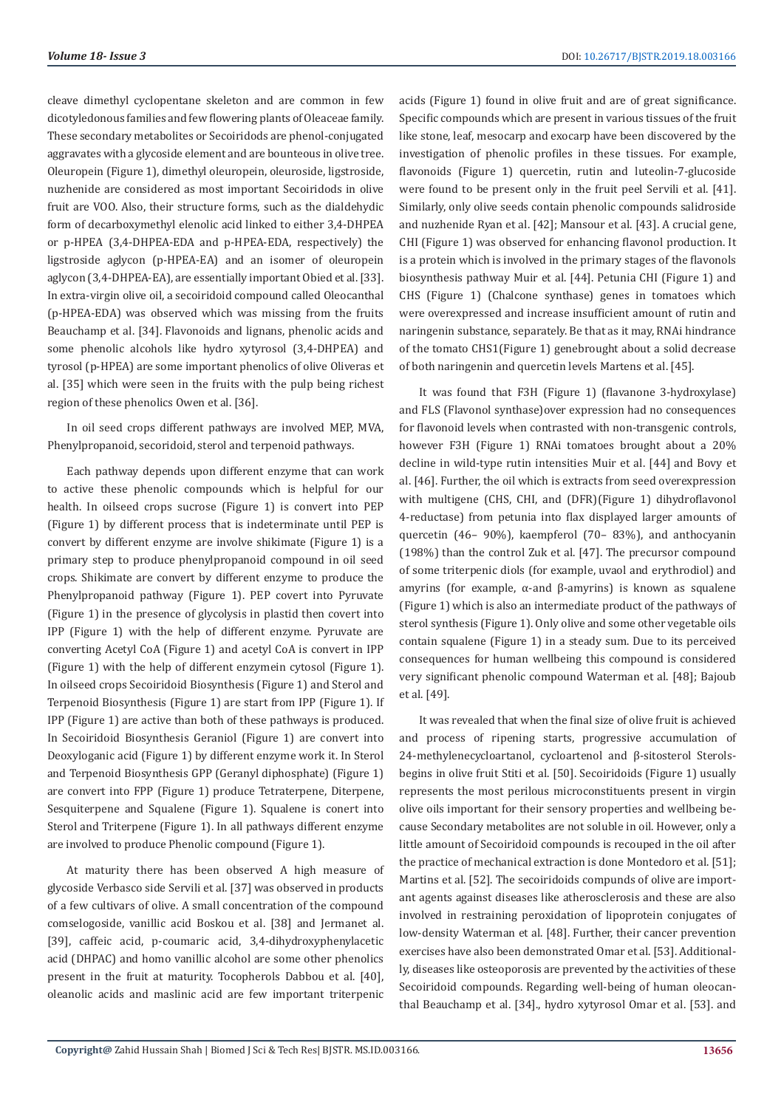cleave dimethyl cyclopentane skeleton and are common in few dicotyledonous families and few flowering plants of Oleaceae family. These secondary metabolites or Secoiridods are phenol-conjugated aggravates with a glycoside element and are bounteous in olive tree. Oleuropein (Figure 1), dimethyl oleuropein, oleuroside, ligstroside, nuzhenide are considered as most important Secoiridods in olive fruit are VOO. Also, their structure forms, such as the dialdehydic form of decarboxymethyl elenolic acid linked to either 3,4-DHPEA or p-HPEA (3,4-DHPEA-EDA and p-HPEA-EDA, respectively) the ligstroside aglycon (p-HPEA-EA) and an isomer of oleuropein aglycon (3,4-DHPEA-EA), are essentially important Obied et al. [33]. In extra-virgin olive oil, a secoiridoid compound called Oleocanthal (p-HPEA-EDA) was observed which was missing from the fruits Beauchamp et al. [34]. Flavonoids and lignans, phenolic acids and some phenolic alcohols like hydro xytyrosol (3,4-DHPEA) and tyrosol (p-HPEA) are some important phenolics of olive Oliveras et al. [35] which were seen in the fruits with the pulp being richest region of these phenolics Owen et al. [36].

In oil seed crops different pathways are involved MEP, MVA, Phenylpropanoid, secoridoid, sterol and terpenoid pathways.

Each pathway depends upon different enzyme that can work to active these phenolic compounds which is helpful for our health. In oilseed crops sucrose (Figure 1) is convert into PEP (Figure 1) by different process that is indeterminate until PEP is convert by different enzyme are involve shikimate (Figure 1) is a primary step to produce phenylpropanoid compound in oil seed crops. Shikimate are convert by different enzyme to produce the Phenylpropanoid pathway (Figure 1). PEP covert into Pyruvate (Figure 1) in the presence of glycolysis in plastid then covert into IPP (Figure 1) with the help of different enzyme. Pyruvate are converting Acetyl CoA (Figure 1) and acetyl CoA is convert in IPP (Figure 1) with the help of different enzymein cytosol (Figure 1). In oilseed crops Secoiridoid Biosynthesis (Figure 1) and Sterol and Terpenoid Biosynthesis (Figure 1) are start from IPP (Figure 1). If IPP (Figure 1) are active than both of these pathways is produced. In Secoiridoid Biosynthesis Geraniol (Figure 1) are convert into Deoxyloganic acid (Figure 1) by different enzyme work it. In Sterol and Terpenoid Biosynthesis GPP (Geranyl diphosphate) (Figure 1) are convert into FPP (Figure 1) produce Tetraterpene, Diterpene, Sesquiterpene and Squalene (Figure 1). Squalene is conert into Sterol and Triterpene (Figure 1). In all pathways different enzyme are involved to produce Phenolic compound (Figure 1).

At maturity there has been observed A high measure of glycoside Verbasco side Servili et al. [37] was observed in products of a few cultivars of olive. A small concentration of the compound comselogoside, vanillic acid Boskou et al. [38] and Jermanet al. [39], caffeic acid, p-coumaric acid, 3,4-dihydroxyphenylacetic acid (DHPAC) and homo vanillic alcohol are some other phenolics present in the fruit at maturity. Tocopherols Dabbou et al. [40], oleanolic acids and maslinic acid are few important triterpenic acids (Figure 1) found in olive fruit and are of great significance. Specific compounds which are present in various tissues of the fruit like stone, leaf, mesocarp and exocarp have been discovered by the investigation of phenolic profiles in these tissues. For example, flavonoids (Figure 1) quercetin, rutin and luteolin-7-glucoside were found to be present only in the fruit peel Servili et al. [41]. Similarly, only olive seeds contain phenolic compounds salidroside and nuzhenide Ryan et al. [42]; Mansour et al. [43]. A crucial gene, CHI (Figure 1) was observed for enhancing flavonol production. It is a protein which is involved in the primary stages of the flavonols biosynthesis pathway Muir et al. [44]. Petunia CHI (Figure 1) and CHS (Figure 1) (Chalcone synthase) genes in tomatoes which were overexpressed and increase insufficient amount of rutin and naringenin substance, separately. Be that as it may, RNAi hindrance of the tomato CHS1(Figure 1) genebrought about a solid decrease of both naringenin and quercetin levels Martens et al. [45].

It was found that F3H (Figure 1) (flavanone 3-hydroxylase) and FLS (Flavonol synthase)over expression had no consequences for flavonoid levels when contrasted with non-transgenic controls, however F3H (Figure 1) RNAi tomatoes brought about a 20% decline in wild-type rutin intensities Muir et al. [44] and Bovy et al. [46]. Further, the oil which is extracts from seed overexpression with multigene (CHS, CHI, and (DFR)(Figure 1) dihydroflavonol 4-reductase) from petunia into flax displayed larger amounts of quercetin (46– 90%), kaempferol (70– 83%), and anthocyanin (198%) than the control Zuk et al. [47]. The precursor compound of some triterpenic diols (for example, uvaol and erythrodiol) and amyrins (for example, α-and β-amyrins) is known as squalene (Figure 1) which is also an intermediate product of the pathways of sterol synthesis (Figure 1). Only olive and some other vegetable oils contain squalene (Figure 1) in a steady sum. Due to its perceived consequences for human wellbeing this compound is considered very significant phenolic compound Waterman et al. [48]; Bajoub et al. [49].

It was revealed that when the final size of olive fruit is achieved and process of ripening starts, progressive accumulation of 24-methylenecycloartanol, cycloartenol and β-sitosterol Sterolsbegins in olive fruit Stiti et al. [50]. Secoiridoids (Figure 1) usually represents the most perilous microconstituents present in virgin olive oils important for their sensory properties and wellbeing because Secondary metabolites are not soluble in oil. However, only a little amount of Secoiridoid compounds is recouped in the oil after the practice of mechanical extraction is done Montedoro et al. [51]; Martins et al. [52]. The secoiridoids compunds of olive are important agents against diseases like atherosclerosis and these are also involved in restraining peroxidation of lipoprotein conjugates of low-density Waterman et al. [48]. Further, their cancer prevention exercises have also been demonstrated Omar et al. [53]. Additionally, diseases like osteoporosis are prevented by the activities of these Secoiridoid compounds. Regarding well-being of human oleocanthal Beauchamp et al. [34]., hydro xytyrosol Omar et al. [53]. and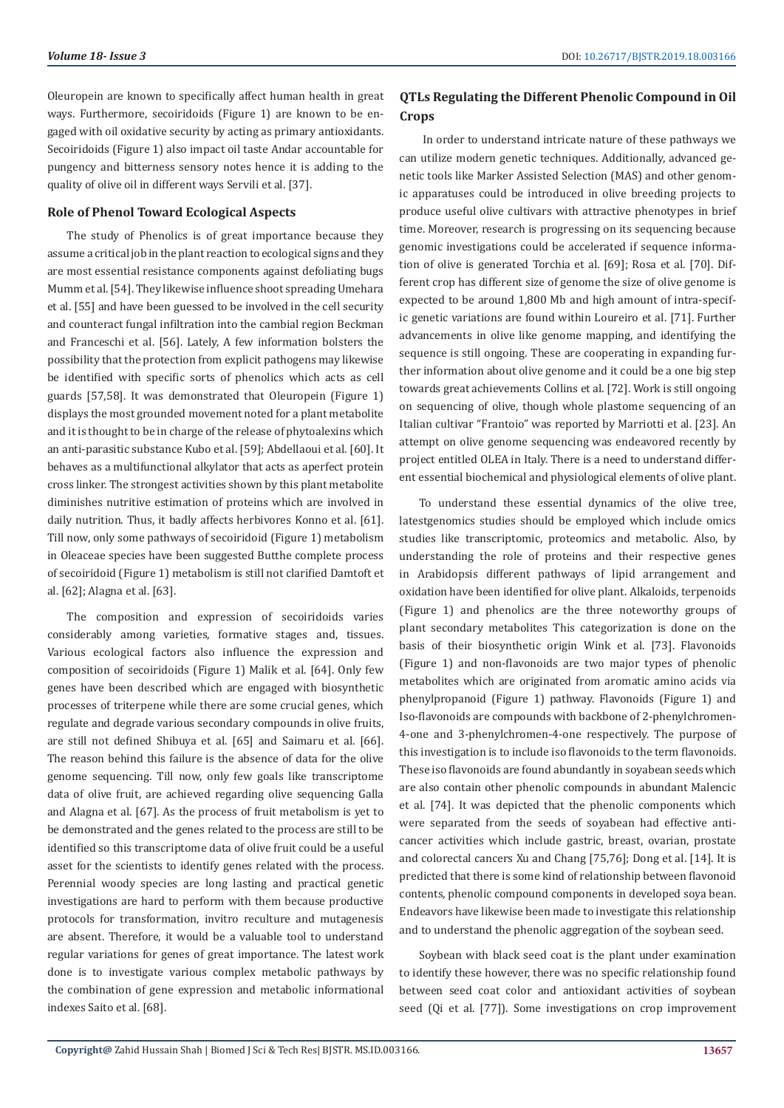Oleuropein are known to specifically affect human health in great ways. Furthermore, secoiridoids (Figure 1) are known to be engaged with oil oxidative security by acting as primary antioxidants. Secoiridoids (Figure 1) also impact oil taste Andar accountable for pungency and bitterness sensory notes hence it is adding to the quality of olive oil in different ways Servili et al. [37].

# **Role of Phenol Toward Ecological Aspects**

The study of Phenolics is of great importance because they assume a critical job in the plant reaction to ecological signs and they are most essential resistance components against defoliating bugs Mumm et al. [54]. They likewise influence shoot spreading Umehara et al. [55] and have been guessed to be involved in the cell security and counteract fungal infiltration into the cambial region Beckman and Franceschi et al. [56]. Lately, A few information bolsters the possibility that the protection from explicit pathogens may likewise be identified with specific sorts of phenolics which acts as cell guards [57,58]. It was demonstrated that Oleuropein (Figure 1) displays the most grounded movement noted for a plant metabolite and it is thought to be in charge of the release of phytoalexins which an anti-parasitic substance Kubo et al. [59]; Abdellaoui et al. [60]. It behaves as a multifunctional alkylator that acts as aperfect protein cross linker. The strongest activities shown by this plant metabolite diminishes nutritive estimation of proteins which are involved in daily nutrition. Thus, it badly affects herbivores Konno et al. [61]. Till now, only some pathways of secoiridoid (Figure 1) metabolism in Oleaceae species have been suggested Butthe complete process of secoiridoid (Figure 1) metabolism is still not clarified Damtoft et al. [62]; Alagna et al. [63].

The composition and expression of secoiridoids varies considerably among varieties, formative stages and, tissues. Various ecological factors also influence the expression and composition of secoiridoids (Figure 1) Malik et al. [64]. Only few genes have been described which are engaged with biosynthetic processes of triterpene while there are some crucial genes, which regulate and degrade various secondary compounds in olive fruits, are still not defined Shibuya et al. [65] and Saimaru et al. [66]. The reason behind this failure is the absence of data for the olive genome sequencing. Till now, only few goals like transcriptome data of olive fruit, are achieved regarding olive sequencing Galla and Alagna et al. [67]. As the process of fruit metabolism is yet to be demonstrated and the genes related to the process are still to be identified so this transcriptome data of olive fruit could be a useful asset for the scientists to identify genes related with the process. Perennial woody species are long lasting and practical genetic investigations are hard to perform with them because productive protocols for transformation, invitro reculture and mutagenesis are absent. Therefore, it would be a valuable tool to understand regular variations for genes of great importance. The latest work done is to investigate various complex metabolic pathways by the combination of gene expression and metabolic informational indexes Saito et al. [68].

# **QTLs Regulating the Different Phenolic Compound in Oil Crops**

 In order to understand intricate nature of these pathways we can utilize modern genetic techniques. Additionally, advanced genetic tools like Marker Assisted Selection (MAS) and other genomic apparatuses could be introduced in olive breeding projects to produce useful olive cultivars with attractive phenotypes in brief time. Moreover, research is progressing on its sequencing because genomic investigations could be accelerated if sequence information of olive is generated Torchia et al. [69]; Rosa et al. [70]. Different crop has different size of genome the size of olive genome is expected to be around 1,800 Mb and high amount of intra-specific genetic variations are found within Loureiro et al. [71]. Further advancements in olive like genome mapping, and identifying the sequence is still ongoing. These are cooperating in expanding further information about olive genome and it could be a one big step towards great achievements Collins et al. [72]. Work is still ongoing on sequencing of olive, though whole plastome sequencing of an Italian cultivar "Frantoio" was reported by Marriotti et al. [23]. An attempt on olive genome sequencing was endeavored recently by project entitled OLEA in Italy. There is a need to understand different essential biochemical and physiological elements of olive plant.

To understand these essential dynamics of the olive tree, latestgenomics studies should be employed which include omics studies like transcriptomic, proteomics and metabolic. Also, by understanding the role of proteins and their respective genes in Arabidopsis different pathways of lipid arrangement and oxidation have been identified for olive plant. Alkaloids, terpenoids (Figure 1) and phenolics are the three noteworthy groups of plant secondary metabolites This categorization is done on the basis of their biosynthetic origin Wink et al. [73]. Flavonoids (Figure 1) and non-flavonoids are two major types of phenolic metabolites which are originated from aromatic amino acids via phenylpropanoid (Figure 1) pathway. Flavonoids (Figure 1) and Iso-flavonoids are compounds with backbone of 2-phenylchromen-4-one and 3-phenylchromen-4-one respectively. The purpose of this investigation is to include iso flavonoids to the term flavonoids. These iso flavonoids are found abundantly in soyabean seeds which are also contain other phenolic compounds in abundant Malencic et al. [74]. It was depicted that the phenolic components which were separated from the seeds of soyabean had effective anticancer activities which include gastric, breast, ovarian, prostate and colorectal cancers Xu and Chang [75,76]; Dong et al. [14]. It is predicted that there is some kind of relationship between flavonoid contents, phenolic compound components in developed soya bean. Endeavors have likewise been made to investigate this relationship and to understand the phenolic aggregation of the soybean seed.

Soybean with black seed coat is the plant under examination to identify these however, there was no specific relationship found between seed coat color and antioxidant activities of soybean seed (Qi et al. [77]). Some investigations on crop improvement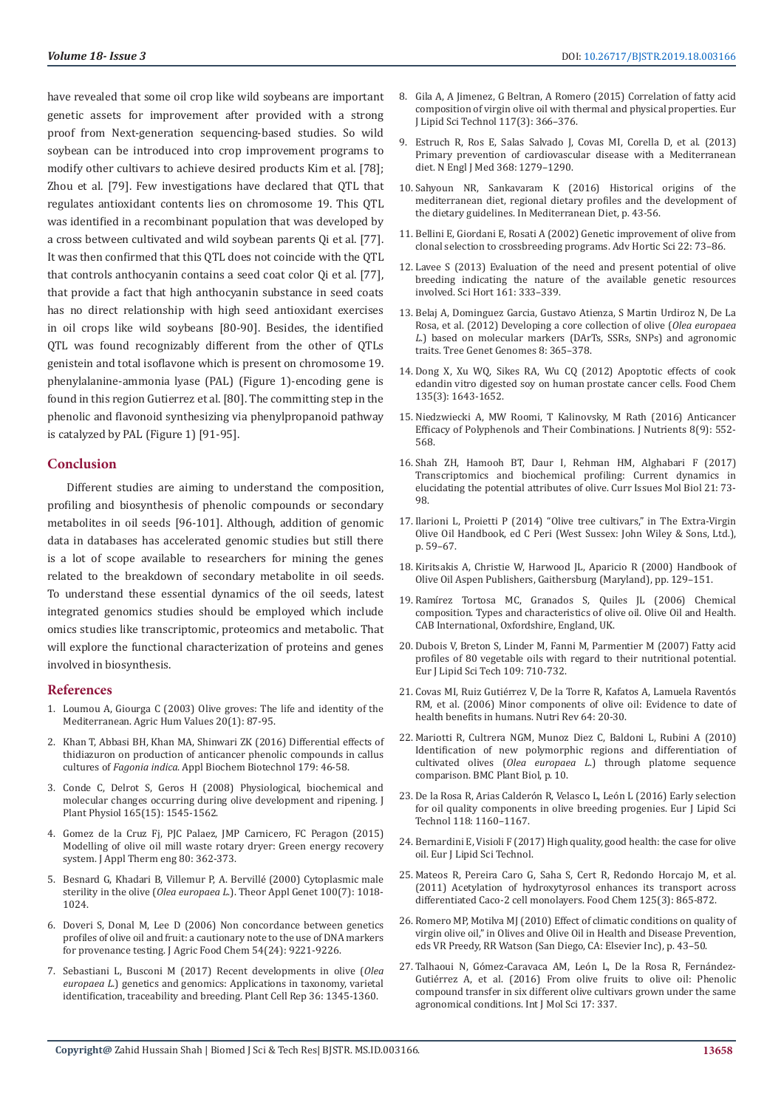have revealed that some oil crop like wild soybeans are important genetic assets for improvement after provided with a strong proof from Next-generation sequencing-based studies. So wild soybean can be introduced into crop improvement programs to modify other cultivars to achieve desired products Kim et al. [78]; Zhou et al. [79]. Few investigations have declared that QTL that regulates antioxidant contents lies on chromosome 19. This QTL was identified in a recombinant population that was developed by a cross between cultivated and wild soybean parents Qi et al. [77]. It was then confirmed that this QTL does not coincide with the QTL that controls anthocyanin contains a seed coat color Qi et al. [77], that provide a fact that high anthocyanin substance in seed coats has no direct relationship with high seed antioxidant exercises in oil crops like wild soybeans [80-90]. Besides, the identified QTL was found recognizably different from the other of QTLs genistein and total isoflavone which is present on chromosome 19. phenylalanine-ammonia lyase (PAL) (Figure 1)-encoding gene is found in this region Gutierrez et al. [80]. The committing step in the phenolic and flavonoid synthesizing via phenylpropanoid pathway is catalyzed by PAL (Figure 1) [91-95].

#### **Conclusion**

Different studies are aiming to understand the composition, profiling and biosynthesis of phenolic compounds or secondary metabolites in oil seeds [96-101]. Although, addition of genomic data in databases has accelerated genomic studies but still there is a lot of scope available to researchers for mining the genes related to the breakdown of secondary metabolite in oil seeds. To understand these essential dynamics of the oil seeds, latest integrated genomics studies should be employed which include omics studies like transcriptomic, proteomics and metabolic. That will explore the functional characterization of proteins and genes involved in biosynthesis.

#### **References**

- 1. [Loumou A, Giourga C \(2003\) Olive groves: The life and identity of the](https://link.springer.com/article/10.1023/A:1022444005336)  [Mediterranean. Agric Hum Values 20\(1\): 87-95.](https://link.springer.com/article/10.1023/A:1022444005336)
- 2. [Khan T, Abbasi BH, Khan MA, Shinwari ZK \(2016\) Differential effects of](https://www.ncbi.nlm.nih.gov/pubmed/26758711)  [thidiazuron on production of anticancer phenolic compounds in callus](https://www.ncbi.nlm.nih.gov/pubmed/26758711)  cultures of *Fagonia indica*[. Appl Biochem Biotechnol 179: 46-58.](https://www.ncbi.nlm.nih.gov/pubmed/26758711)
- 3. [Conde C, Delrot S, Geros H \(2008\) Physiological, biochemical and](https://www.sciencedirect.com/science/article/pii/S0176161708001338)  [molecular changes occurring during olive development and ripening. J](https://www.sciencedirect.com/science/article/pii/S0176161708001338)  [Plant Physiol 165\(15\): 1545-1562.](https://www.sciencedirect.com/science/article/pii/S0176161708001338)
- 4. [Gomez de la Cruz Fj, PJC Palaez, JMP Carnicero, FC Peragon \(2015\)](https://www.sciencedirect.com/science/article/pii/S135943111500040X)  [Modelling of olive oil mill waste rotary dryer: Green energy recovery](https://www.sciencedirect.com/science/article/pii/S135943111500040X)  [system. J Appl Therm eng 80: 362-373.](https://www.sciencedirect.com/science/article/pii/S135943111500040X)
- 5. [Besnard G, Khadari B, Villemur P, A. Bervillé \(2000\) Cytoplasmic male](https://link.springer.com/article/10.1007/s001220051383)  sterility in the olive (*Olea europaea L*[.\). Theor Appl Genet 100\(7\): 1018-](https://link.springer.com/article/10.1007/s001220051383) [1024.](https://link.springer.com/article/10.1007/s001220051383)
- 6. [Doveri S, Donal M, Lee D \(2006\) Non concordance between genetics](https://www.ncbi.nlm.nih.gov/pubmed/17117813)  [profiles of olive oil and fruit: a cautionary note to the use of DNA markers](https://www.ncbi.nlm.nih.gov/pubmed/17117813)  [for provenance testing. J Agric Food Chem 54\(24\): 9221-9226.](https://www.ncbi.nlm.nih.gov/pubmed/17117813)
- 7. [Sebastiani L, Busconi M \(2017\) Recent developments in olive \(](https://www.ncbi.nlm.nih.gov/pubmed/28434019)*Olea europaea L.*[\) genetics and genomics: Applications in taxonomy, varietal](https://www.ncbi.nlm.nih.gov/pubmed/28434019)  [identification, traceability and breeding. Plant Cell Rep 36: 1345-1360.](https://www.ncbi.nlm.nih.gov/pubmed/28434019)
- 8. [Gila A, A Jimenez, G Beltran, A Romero \(2015\) Correlation of fatty acid](https://onlinelibrary.wiley.com/doi/abs/10.1002/ejlt.201400078) [composition of virgin olive oil with thermal and physical properties. Eur](https://onlinelibrary.wiley.com/doi/abs/10.1002/ejlt.201400078) [J Lipid Sci Technol 117\(3\): 366–376.](https://onlinelibrary.wiley.com/doi/abs/10.1002/ejlt.201400078)
- 9. [Estruch R, Ros E, Salas Salvado J, Covas MI, Corella D, et al. \(2013\)](https://www.nejm.org/doi/full/10.1056/NEJMoa1200303) [Primary prevention of cardiovascular disease with a Mediterranean](https://www.nejm.org/doi/full/10.1056/NEJMoa1200303) [diet. N Engl J Med 368: 1279–1290.](https://www.nejm.org/doi/full/10.1056/NEJMoa1200303)
- 10. [Sahyoun NR, Sankavaram K \(2016\) Historical origins of the](https://link.springer.com/chapter/10.1007/978-3-319-27969-5_4) [mediterranean diet, regional dietary profiles and the development of](https://link.springer.com/chapter/10.1007/978-3-319-27969-5_4) [the dietary guidelines. In Mediterranean Diet, p. 43-56.](https://link.springer.com/chapter/10.1007/978-3-319-27969-5_4)
- 11. Bellini E, Giordani E, Rosati A (2002) Genetic improvement of olive from clonal selection to crossbreeding programs. Adv Hortic Sci 22: 73–86.
- 12. [Lavee S \(2013\) Evaluation of the need and present potential of olive](https://www.cabdirect.org/cabdirect/abstract/20133370192) [breeding indicating the nature of the available genetic resources](https://www.cabdirect.org/cabdirect/abstract/20133370192) [involved. Sci Hort 161: 333–339.](https://www.cabdirect.org/cabdirect/abstract/20133370192)
- 13. [Belaj A, Dominguez Garcia, Gustavo Atienza, S Martin Urdiroz N, De La](https://link.springer.com/article/10.1007/s11295-011-0447-6) [Rosa, et al. \(2012\) Developing a core collection of olive \(](https://link.springer.com/article/10.1007/s11295-011-0447-6)*Olea europaea L*[.\) based on molecular markers \(DArTs, SSRs, SNPs\) and agronomic](https://link.springer.com/article/10.1007/s11295-011-0447-6) [traits. Tree Genet Genomes 8: 365–378.](https://link.springer.com/article/10.1007/s11295-011-0447-6)
- 14. [Dong X, Xu WQ, Sikes RA, Wu CQ \(2012\) Apoptotic effects of cook](https://www.ncbi.nlm.nih.gov/pubmed/22953905) [edandin vitro digested soy on human prostate cancer cells. Food Chem](https://www.ncbi.nlm.nih.gov/pubmed/22953905) [135\(3\): 1643-1652.](https://www.ncbi.nlm.nih.gov/pubmed/22953905)
- 15. [Niedzwiecki A, MW Roomi, T Kalinovsky, M Rath \(2016\) Anticancer](https://www.ncbi.nlm.nih.gov/pubmed/27618095) [Efficacy of Polyphenols and Their Combinations. J Nutrients 8\(9\): 552-](https://www.ncbi.nlm.nih.gov/pubmed/27618095) [568.](https://www.ncbi.nlm.nih.gov/pubmed/27618095)
- 16. [Shah ZH, Hamooh BT, Daur I, Rehman HM, Alghabari F \(2017\)](https://www.ncbi.nlm.nih.gov/pubmed/27489344) [Transcriptomics and biochemical profiling: Current dynamics in](https://www.ncbi.nlm.nih.gov/pubmed/27489344) [elucidating the potential attributes of olive. Curr Issues Mol Biol 21: 73-](https://www.ncbi.nlm.nih.gov/pubmed/27489344) [98.](https://www.ncbi.nlm.nih.gov/pubmed/27489344)
- 17. Ilarioni L, Proietti P (2014) "Olive tree cultivars," in The Extra-Virgin Olive Oil Handbook, ed C Peri (West Sussex: John Wiley & Sons, Ltd.), p. 59–67.
- 18. Kiritsakis A, Christie W, Harwood JL, Aparicio R (2000) Handbook of Olive Oil Aspen Publishers, Gaithersburg (Maryland), pp. 129–151.
- 19. Ramírez Tortosa MC, Granados S, Quiles JL (2006) Chemical composition. Types and characteristics of olive oil. Olive Oil and Health. CAB International, Oxfordshire, England, UK.
- 20. [Dubois V, Breton S, Linder M, Fanni M, Parmentier M \(2007\) Fatty acid](https://onlinelibrary.wiley.com/doi/abs/10.1002/ejlt.200700040) [profiles of 80 vegetable oils with regard to their nutritional potential.](https://onlinelibrary.wiley.com/doi/abs/10.1002/ejlt.200700040) [Eur J Lipid Sci Tech 109: 710-732.](https://onlinelibrary.wiley.com/doi/abs/10.1002/ejlt.200700040)
- 21. Covas MI, Ruiz Gutiérrez V, De la Torre R, Kafatos A, Lamuela Raventós RM, et al. (2006) Minor components of olive oil: Evidence to date of health benefits in humans. Nutri Rev 64: 20-30.
- 22. [Mariotti R, Cultrera NGM, Munoz Diez C, Baldoni L, Rubini A \(2010\)](https://bmcplantbiol.biomedcentral.com/articles/10.1186/1471-2229-10-211) [Identification of new polymorphic regions and differentiation of](https://bmcplantbiol.biomedcentral.com/articles/10.1186/1471-2229-10-211) cultivated olives (*Olea europaea L*[.\) through platome sequence](https://bmcplantbiol.biomedcentral.com/articles/10.1186/1471-2229-10-211) [comparison. BMC Plant Biol, p. 10.](https://bmcplantbiol.biomedcentral.com/articles/10.1186/1471-2229-10-211)
- 23. [De la Rosa R, Arias Calderón R, Velasco L, León L \(2016\) Early selection](https://onlinelibrary.wiley.com/doi/abs/10.1002/ejlt.201500425) [for oil quality components in olive breeding progenies. Eur J Lipid Sci](https://onlinelibrary.wiley.com/doi/abs/10.1002/ejlt.201500425) [Technol 118: 1160–1167.](https://onlinelibrary.wiley.com/doi/abs/10.1002/ejlt.201500425)
- 24. Bernardini E, Visioli F (2017) High quality, good health: the case for olive oil. Eur J Lipid Sci Technol.
- 25. [Mateos R, Pereira Caro G, Saha S, Cert R, Redondo Horcajo M, et al.](https://www.sciencedirect.com/science/article/pii/S0308814610011519) [\(2011\) Acetylation of hydroxytyrosol enhances its transport across](https://www.sciencedirect.com/science/article/pii/S0308814610011519) [differentiated Caco-2 cell monolayers. Food Chem 125\(3\): 865-872.](https://www.sciencedirect.com/science/article/pii/S0308814610011519)
- 26. Romero MP, Motilva MJ (2010) Effect of climatic conditions on quality of virgin olive oil," in Olives and Olive Oil in Health and Disease Prevention, eds VR Preedy, RR Watson (San Diego, CA: Elsevier Inc), p. 43–50.
- 27. [Talhaoui N, Gómez-Caravaca AM, León L, De la Rosa R, Fernández-](https://www.ncbi.nlm.nih.gov/pubmed/26959010)Guti[érrez A, et al. \(2016\) From olive fruits to olive oil: Phenolic](https://www.ncbi.nlm.nih.gov/pubmed/26959010) [compound transfer in six different olive cultivars grown under the same](https://www.ncbi.nlm.nih.gov/pubmed/26959010) [agronomical conditions. Int J Mol Sci 17: 337.](https://www.ncbi.nlm.nih.gov/pubmed/26959010)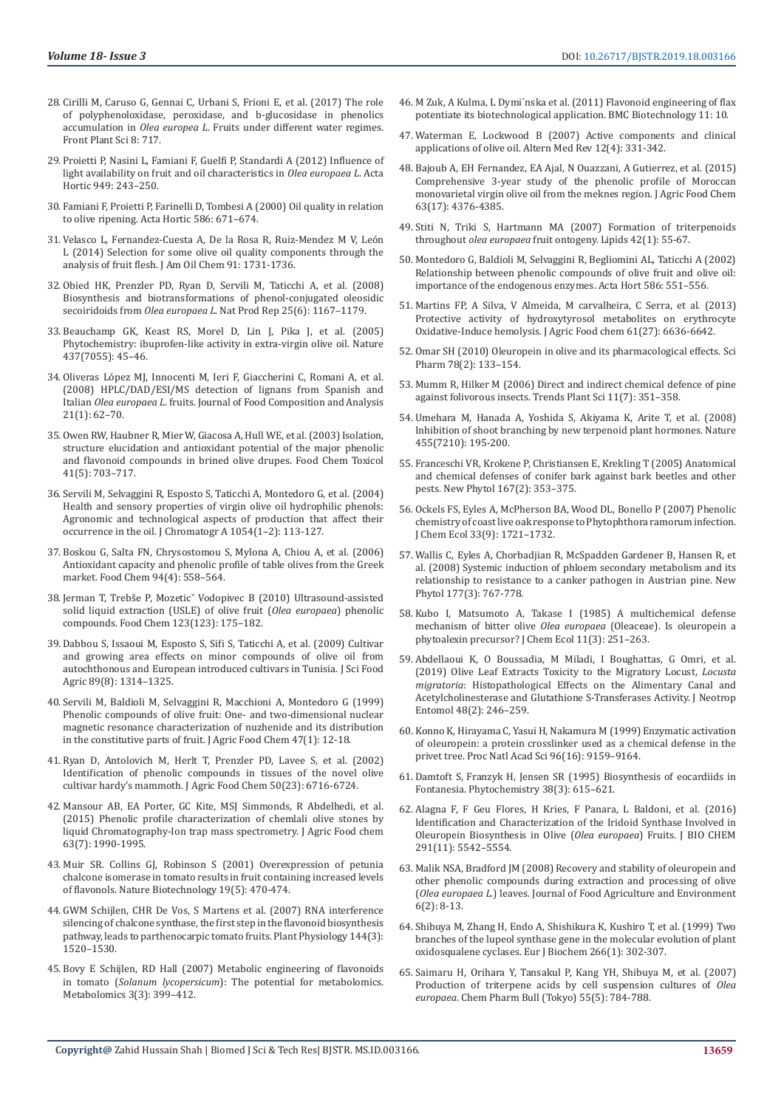- 28. Cirilli M, Caruso G, Gennai C, Urbani S, Frioni E, et al. (2017) The role of polyphenoloxidase, peroxidase, and b-glucosidase in phenolics accumulation in *Olea europea L*. Fruits under different water regimes. Front Plant Sci 8: 717.
- 29. [Proietti P, Nasini L, Famiani F, Guelfi P, Standardi A \(2012\) Influence of](https://www.researchgate.net/publication/256221561_Influence_of_Light_Availability_on_Fruit_and_Oil_Characteristics_in_Olea_europea_L)  [light availability on fruit and oil characteristics in](https://www.researchgate.net/publication/256221561_Influence_of_Light_Availability_on_Fruit_and_Oil_Characteristics_in_Olea_europea_L) *Olea europaea L*. Acta [Hortic 949: 243–250.](https://www.researchgate.net/publication/256221561_Influence_of_Light_Availability_on_Fruit_and_Oil_Characteristics_in_Olea_europea_L)
- 30. [Famiani F, Proietti P, Farinelli D, Tombesi A \(2000\) Oil quality in relation](https://www.actahort.org/books/586/586_143.htm)  [to olive ripening. Acta Hortic 586: 671–674.](https://www.actahort.org/books/586/586_143.htm)
- 31. [Velasco L, Fernandez-Cuesta A, De la Rosa R, Ruiz-Mendez M V, León](https://aocs.onlinelibrary.wiley.com/doi/pdf/10.1007/s11746-014-2523-1)  [L \(2014\) Selection for some olive oil quality components through the](https://aocs.onlinelibrary.wiley.com/doi/pdf/10.1007/s11746-014-2523-1)  [analysis of fruit flesh. J Am Oil Chem 91: 1731-1736.](https://aocs.onlinelibrary.wiley.com/doi/pdf/10.1007/s11746-014-2523-1)
- 32. [Obied HK, Prenzler PD, Ryan D, Servili M, Taticchi A, et al. \(2008\)](https://www.ncbi.nlm.nih.gov/pubmed/19030607)  [Biosynthesis and biotransformations of phenol-conjugated oleosidic](https://www.ncbi.nlm.nih.gov/pubmed/19030607)  secoiridoids from *Olea europaea L*[. Nat Prod Rep 25\(6\): 1167–1179.](https://www.ncbi.nlm.nih.gov/pubmed/19030607)
- 33. Beauchamp GK, Keast RS, Morel D, Lin J, Pika J, et al. (2005) Phytochemistry: ibuprofen-like activity in extra-virgin olive oil. Nature 437(7055): 45–46.
- 34. [Oliveras López MJ, Innocenti M, Ieri F, Giaccherini C, Romani A, et al.](https://www.sciencedirect.com/science/article/pii/S0889157507000853)  [\(2008\) HPLC/DAD/ESI/MS detection of lignans from Spanish and](https://www.sciencedirect.com/science/article/pii/S0889157507000853)  Italian *Olea europaea L*[. fruits. Journal of Food Composition and Analysis](https://www.sciencedirect.com/science/article/pii/S0889157507000853)  [21\(1\): 62–70.](https://www.sciencedirect.com/science/article/pii/S0889157507000853)
- 35. [Owen RW, Haubner R, Mier W, Giacosa A, Hull WE, et al. \(2003\) Isolation,](https://www.ncbi.nlm.nih.gov/pubmed/12659724)  [structure elucidation and antioxidant potential of the major phenolic](https://www.ncbi.nlm.nih.gov/pubmed/12659724)  [and flavonoid compounds in brined olive drupes. Food Chem Toxicol](https://www.ncbi.nlm.nih.gov/pubmed/12659724)  [41\(5\): 703–717.](https://www.ncbi.nlm.nih.gov/pubmed/12659724)
- 36. [Servili M, Selvaggini R, Esposto S, Taticchi A, Montedoro G, et al. \(2004\)](https://www.sciencedirect.com/science/article/pii/S0021967304014232)  [Health and sensory properties of virgin olive oil hydrophilic phenols:](https://www.sciencedirect.com/science/article/pii/S0021967304014232)  [Agronomic and technological aspects of production that affect their](https://www.sciencedirect.com/science/article/pii/S0021967304014232)  [occurrence in the oil. J Chromatogr A 1054\(1–2\): 113-127.](https://www.sciencedirect.com/science/article/pii/S0021967304014232)
- 37. [Boskou G, Salta FN, Chrysostomou S, Mylona A, Chiou A, et al. \(2006\)](https://www.sciencedirect.com/science/article/pii/S0308814605000117)  [Antioxidant capacity and phenolic profile of table olives from the Greek](https://www.sciencedirect.com/science/article/pii/S0308814605000117)  [market. Food Chem 94\(4\): 558–564.](https://www.sciencedirect.com/science/article/pii/S0308814605000117)
- 38. Jerman T, Treb[še P, Mozeticˇ Vodopivec B \(2010\) Ultrasound-assisted](https://www.sciencedirect.com/science/article/pii/S0308814610004620)  [solid liquid extraction \(USLE\) of olive fruit \(](https://www.sciencedirect.com/science/article/pii/S0308814610004620)*Olea europaea*) phenolic [compounds. Food Chem 123\(123\): 175–182.](https://www.sciencedirect.com/science/article/pii/S0308814610004620)
- 39. [Dabbou S, Issaoui M, Esposto S, Sifi S, Taticchi A, et al. \(2009\) Cultivar](https://onlinelibrary.wiley.com/doi/abs/10.1002/jsfa.3588)  [and growing area effects on minor compounds of olive oil from](https://onlinelibrary.wiley.com/doi/abs/10.1002/jsfa.3588)  [autochthonous and European introduced cultivars in Tunisia. J Sci Food](https://onlinelibrary.wiley.com/doi/abs/10.1002/jsfa.3588)  [Agric 89\(8\): 1314–1325.](https://onlinelibrary.wiley.com/doi/abs/10.1002/jsfa.3588)
- 40. [Servili M, Baldioli M, Selvaggini R, Macchioni A, Montedoro G \(1999\)](https://pubs.acs.org/doi/abs/10.1021/jf9806210)  [Phenolic compounds of olive fruit: One- and two-dimensional nuclear](https://pubs.acs.org/doi/abs/10.1021/jf9806210)  [magnetic resonance characterization of nuzhenide and its distribution](https://pubs.acs.org/doi/abs/10.1021/jf9806210)  [in the constitutive parts of fruit. J Agric Food Chem 47\(1\): 12-18.](https://pubs.acs.org/doi/abs/10.1021/jf9806210)
- 41. [Ryan D, Antolovich M, Herlt T, Prenzler PD, Lavee S, et al. \(2002\)](https://pubs.acs.org/doi/abs/10.1021/jf025736p)  [Identification of phenolic compounds in tissues of the novel olive](https://pubs.acs.org/doi/abs/10.1021/jf025736p)  [cultivar hardy's mammoth. J Agric Food Chem 50\(23\): 6716-6724.](https://pubs.acs.org/doi/abs/10.1021/jf025736p)
- 42. [Mansour AB, EA Porter, GC Kite, MSJ Simmonds, R Abdelhedi, et al.](https://www.ncbi.nlm.nih.gov/pubmed/25650173)  [\(2015\) Phenolic profile characterization of chemlali olive stones by](https://www.ncbi.nlm.nih.gov/pubmed/25650173)  [liquid Chromatography-Ion trap mass spectrometry. J Agric Food chem](https://www.ncbi.nlm.nih.gov/pubmed/25650173)  [63\(7\): 1990-1995.](https://www.ncbi.nlm.nih.gov/pubmed/25650173)
- 43. [Muir SR. Collins GJ, Robinson S \(2001\) Overexpression of petunia](https://www.ncbi.nlm.nih.gov/pubmed/11329019)  [chalcone isomerase in tomato results in fruit containing increased levels](https://www.ncbi.nlm.nih.gov/pubmed/11329019)  [of flavonols. Nature Biotechnology 19\(5\): 470-474.](https://www.ncbi.nlm.nih.gov/pubmed/11329019)
- 44. [GWM Schijlen, CHR De Vos, S Martens et al. \(2007\) RNA interference](https://www.ncbi.nlm.nih.gov/pubmed/17478633)  [silencing of chalcone synthase, the first step in the flavonoid biosynthesis](https://www.ncbi.nlm.nih.gov/pubmed/17478633)  [pathway, leads to parthenocarpic tomato fruits. Plant Physiology 144\(3\):](https://www.ncbi.nlm.nih.gov/pubmed/17478633)  [1520–1530.](https://www.ncbi.nlm.nih.gov/pubmed/17478633)
- 45. [Bovy E Schijlen, RD Hall \(2007\) Metabolic engineering of flavonoids](https://www.ncbi.nlm.nih.gov/pmc/articles/PMC4309898/)  in tomato (*Solanum lycopersicum*[\): The potential for metabolomics.](https://www.ncbi.nlm.nih.gov/pmc/articles/PMC4309898/)  [Metabolomics 3\(3\): 399–412.](https://www.ncbi.nlm.nih.gov/pmc/articles/PMC4309898/)
- 46. [M Zuk, A Kulma, L Dymi´nska et al. \(2011\) Flavonoid engineering of flax](https://bmcbiotechnol.biomedcentral.com/articles/10.1186/1472-6750-11-10) [potentiate its biotechnological application. BMC Biotechnology 11: 10.](https://bmcbiotechnol.biomedcentral.com/articles/10.1186/1472-6750-11-10)
- 47. [Waterman E, Lockwood B \(2007\) Active components and clinical](https://www.ncbi.nlm.nih.gov/pubmed/18069902) [applications of olive oil. Altern Med Rev 12\(4\): 331-342.](https://www.ncbi.nlm.nih.gov/pubmed/18069902)
- 48. [Bajoub A, EH Fernandez, EA Ajal, N Ouazzani, A Gutierrez, et al. \(2015\)](https://www.ncbi.nlm.nih.gov/pubmed/25846897) [Comprehensive 3-year study of the phenolic profile of Moroccan](https://www.ncbi.nlm.nih.gov/pubmed/25846897) [monovarietal virgin olive oil from the meknes region. J Agric Food Chem](https://www.ncbi.nlm.nih.gov/pubmed/25846897) [63\(17\): 4376-4385.](https://www.ncbi.nlm.nih.gov/pubmed/25846897)
- 49. [Stiti N, Triki S, Hartmann MA \(2007\) Formation of triterpenoids](https://www.ncbi.nlm.nih.gov/pubmed/17393211) throughout *olea europaea* [fruit ontogeny. Lipids 42\(1\): 55-67.](https://www.ncbi.nlm.nih.gov/pubmed/17393211)
- 50. [Montedoro G, Baldioli M, Selvaggini R, Begliomini AL, Taticchi A \(2002\)](https://www.actahort.org/books/586/586_115.htm) [Relationship between phenolic compounds of olive fruit and olive oil:](https://www.actahort.org/books/586/586_115.htm) [importance of the endogenous enzymes. Acta Hort 586: 551–556.](https://www.actahort.org/books/586/586_115.htm)
- 51. [Martins FP, A Silva, V Almeida, M carvalheira, C Serra, et al. \(2013\)](https://www.ncbi.nlm.nih.gov/pubmed/23777263) [Protective activity of hydroxytyrosol metabolites on erythrocyte](https://www.ncbi.nlm.nih.gov/pubmed/23777263) [Oxidative-Induce hemolysis. J Agric Food chem 61\(27\): 6636-6642.](https://www.ncbi.nlm.nih.gov/pubmed/23777263)
- 52. [Omar SH \(2010\) Oleuropein in olive and its pharmacological effects. Sci](https://www.ncbi.nlm.nih.gov/pubmed/21179340) [Pharm 78\(2\): 133–154.](https://www.ncbi.nlm.nih.gov/pubmed/21179340)
- 53. [Mumm R, Hilker M \(2006\) Direct and indirect chemical defence of pine](https://www.sciencedirect.com/science/article/pii/S1360138506001324) [against folivorous insects. Trends Plant Sci 11\(7\): 351–358.](https://www.sciencedirect.com/science/article/pii/S1360138506001324)
- 54. [Umehara M, Hanada A, Yoshida S, Akiyama K, Arite T, et al. \(2008\)](https://www.ncbi.nlm.nih.gov/pubmed/18690207) [Inhibition of shoot branching by new terpenoid plant hormones. Nature](https://www.ncbi.nlm.nih.gov/pubmed/18690207) [455\(7210\): 195-200.](https://www.ncbi.nlm.nih.gov/pubmed/18690207)
- 55. [Franceschi VR, Krokene P, Christiansen E, Krekling T \(2005\) Anatomical](https://www.ncbi.nlm.nih.gov/pubmed/15998390) [and chemical defenses of conifer bark against bark beetles and other](https://www.ncbi.nlm.nih.gov/pubmed/15998390) [pests. New Phytol 167\(2\): 353–375.](https://www.ncbi.nlm.nih.gov/pubmed/15998390)
- 56. [Ockels FS, Eyles A, McPherson BA, Wood DL, Bonello P \(2007\) Phenolic](https://link.springer.com/article/10.1007/s10886-007-9332-z) [chemistry of coast live oak response to Phytophthora ramorum infection.](https://link.springer.com/article/10.1007/s10886-007-9332-z) [J Chem Ecol 33\(9\): 1721–1732.](https://link.springer.com/article/10.1007/s10886-007-9332-z)
- 57. [Wallis C, Eyles A, Chorbadjian R, McSpadden Gardener B, Hansen R, et](https://www.ncbi.nlm.nih.gov/pubmed/18069955) [al. \(2008\) Systemic induction of phloem secondary metabolism and its](https://www.ncbi.nlm.nih.gov/pubmed/18069955) [relationship to resistance to a canker pathogen in Austrian pine. New](https://www.ncbi.nlm.nih.gov/pubmed/18069955) [Phytol 177\(3\): 767-778.](https://www.ncbi.nlm.nih.gov/pubmed/18069955)
- 58. [Kubo I, Matsumoto A, Takase I \(1985\) A multichemical defense](https://link.springer.com/article/10.1007/BF00988207) mechanism of bitter olive *Olea europaea* (Oleaceae). Is oleuropein a [phytoalexin precursor? J Chem Ecol 11\(3\): 251–263.](https://link.springer.com/article/10.1007/BF00988207)
- 59. [Abdellaoui K, O Boussadia, M Miladi, I Boughattas, G Omri, et al.](https://www.ncbi.nlm.nih.gov/pubmed/30151672) [\(2019\) Olive Leaf Extracts Toxicity to the Migratory Locust,](https://www.ncbi.nlm.nih.gov/pubmed/30151672) *Locusta migratoria*[: Histopathological Effects on the Alimentary Canal and](https://www.ncbi.nlm.nih.gov/pubmed/30151672) [Acetylcholinesterase and Glutathione S-Transferases Activity. J Neotrop](https://www.ncbi.nlm.nih.gov/pubmed/30151672) [Entomol 48\(2\): 246–259.](https://www.ncbi.nlm.nih.gov/pubmed/30151672)
- 60. [Konno K, Hirayama C, Yasui H, Nakamura M \(1999\) Enzymatic activation](https://www.pnas.org/content/96/16/9159) [of oleuropein: a protein crosslinker used as a chemical defense in the](https://www.pnas.org/content/96/16/9159) [privet tree. Proc Natl Acad Sci 96\(16\): 9159–9164.](https://www.pnas.org/content/96/16/9159)
- 61. [Damtoft S, Franzyk H, Jensen SR \(1995\) Biosynthesis of eocardiids in](https://www.sciencedirect.com/science/article/abs/pii/003194229400683K) [Fontanesia. Phytochemistry 38\(3\): 615–621.](https://www.sciencedirect.com/science/article/abs/pii/003194229400683K)
- 62. [Alagna F, F Geu Flores, H Kries, F Panara, L Baldoni, et al. \(2016\)](https://www.ncbi.nlm.nih.gov/pubmed/26709230) [Identification and Characterization of the Iridoid Synthase Involved in](https://www.ncbi.nlm.nih.gov/pubmed/26709230) [Oleuropein Biosynthesis in Olive \(](https://www.ncbi.nlm.nih.gov/pubmed/26709230)*Olea europaea*) Fruits. J BIO CHEM [291\(11\): 5542–5554.](https://www.ncbi.nlm.nih.gov/pubmed/26709230)
- 63. [Malik NSA, Bradford JM \(2008\) Recovery and stability of oleuropein and](https://naldc.nal.usda.gov/download/18317/PDF) [other phenolic compounds during extraction and processing of olive](https://naldc.nal.usda.gov/download/18317/PDF) (*Olea europaea L*[.\) leaves. Journal of Food Agriculture and Environment](https://naldc.nal.usda.gov/download/18317/PDF) [6\(2\): 8-13.](https://naldc.nal.usda.gov/download/18317/PDF)
- 64. [Shibuya M, Zhang H, Endo A, Shishikura K, Kushiro T, et al. \(1999\) Two](https://www.ncbi.nlm.nih.gov/pubmed/10542078) [branches of the lupeol synthase gene in the molecular evolution of plant](https://www.ncbi.nlm.nih.gov/pubmed/10542078) [oxidosqualene cyclases. Eur J Biochem 266\(1\): 302-307.](https://www.ncbi.nlm.nih.gov/pubmed/10542078)
- 65. [Saimaru H, Orihara Y, Tansakul P, Kang YH, Shibuya M, et al. \(2007\)](https://www.ncbi.nlm.nih.gov/pubmed/17473469) [Production of triterpene acids by cell suspension cultures of](https://www.ncbi.nlm.nih.gov/pubmed/17473469) *Olea europaea*[. Chem Pharm Bull \(Tokyo\) 55\(5\): 784-788.](https://www.ncbi.nlm.nih.gov/pubmed/17473469)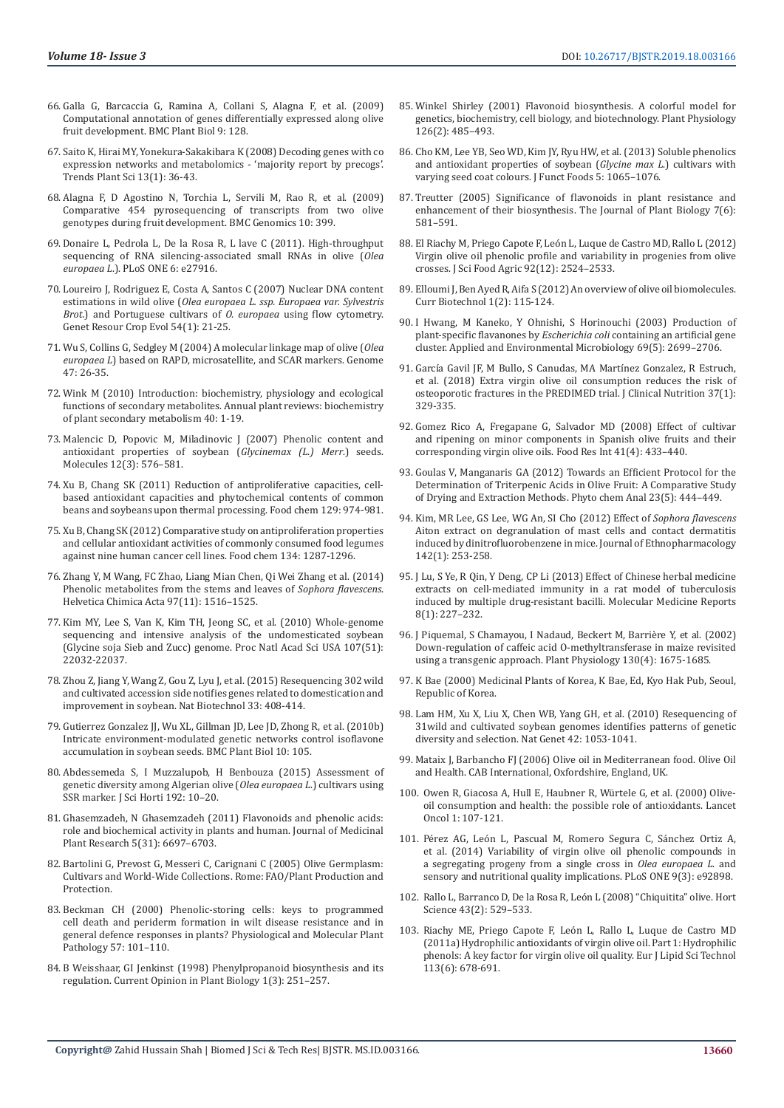- 66. Galla G, Barcaccia G, Ramina A, Collani S, Alagna F, et al. (2009) Computational annotation of genes differentially expressed along olive fruit development. BMC Plant Biol 9: 128.
- 67. [Saito K, Hirai MY, Yonekura-Sakakibara K \(2008\) Decoding genes with co](https://www.ncbi.nlm.nih.gov/pubmed/18160330)  [expression networks and metabolomics - 'majority report by precogs'.](https://www.ncbi.nlm.nih.gov/pubmed/18160330)  [Trends Plant Sci 13\(1\): 36-43.](https://www.ncbi.nlm.nih.gov/pubmed/18160330)
- 68. [Alagna F, D Agostino N, Torchia L, Servili M, Rao R, et al. \(2009\)](https://bmcgenomics.biomedcentral.com/articles/10.1186/1471-2164-10-399)  [Comparative 454 pyrosequencing of transcripts from two olive](https://bmcgenomics.biomedcentral.com/articles/10.1186/1471-2164-10-399)  [genotypes during fruit development. BMC Genomics 10: 399.](https://bmcgenomics.biomedcentral.com/articles/10.1186/1471-2164-10-399)
- 69. [Donaire L, Pedrola L, De la Rosa R, L lave C \(2011\). High-throughput](https://journals.plos.org/plosone/article?id=10.1371/journal.pone.0027916)  [sequencing of RNA silencing-associated small RNAs in olive \(](https://journals.plos.org/plosone/article?id=10.1371/journal.pone.0027916)*Olea europaea L*[.\). PLoS ONE 6: e27916.](https://journals.plos.org/plosone/article?id=10.1371/journal.pone.0027916)
- 70. [Loureiro J, Rodriguez E, Costa A, Santos C \(2007\) Nuclear DNA content](https://link.springer.com/article/10.1007/s10722-006-9115-3)  [estimations in wild olive \(](https://link.springer.com/article/10.1007/s10722-006-9115-3)*Olea europaea L. ssp. Europaea var. Sylvestris Brot.*[\) and Portuguese cultivars of](https://link.springer.com/article/10.1007/s10722-006-9115-3) *O. europaea* using flow cytometry. [Genet Resour Crop Evol 54\(1\): 21-25.](https://link.springer.com/article/10.1007/s10722-006-9115-3)
- 71. [Wu S, Collins G, Sedgley M \(2004\) A molecular linkage map of olive \(](https://www.ncbi.nlm.nih.gov/pubmed/15060599)*Olea europaea L*[\) based on RAPD, microsatellite, and SCAR markers. Genome](https://www.ncbi.nlm.nih.gov/pubmed/15060599)  [47: 26-35.](https://www.ncbi.nlm.nih.gov/pubmed/15060599)
- 72. [Wink M \(2010\) Introduction: biochemistry, physiology and ecological](https://onlinelibrary.wiley.com/doi/10.1002/9781444320503.ch1)  [functions of secondary metabolites. Annual plant reviews: biochemistry](https://onlinelibrary.wiley.com/doi/10.1002/9781444320503.ch1)  [of plant secondary metabolism 40: 1-19.](https://onlinelibrary.wiley.com/doi/10.1002/9781444320503.ch1)
- 73. [Malencic D, Popovic M, Miladinovic J \(2007\) Phenolic content and](https://www.ncbi.nlm.nih.gov/pubmed/17851412)  [antioxidant properties of soybean \(](https://www.ncbi.nlm.nih.gov/pubmed/17851412)*Glycinemax (L.) Merr*.) seeds. [Molecules 12\(3\): 576–581.](https://www.ncbi.nlm.nih.gov/pubmed/17851412)
- 74. [Xu B, Chang SK \(2011\) Reduction of antiproliferative capacities, cell](http://europepmc.org/abstract/med/25212326)[based antioxidant capacities and phytochemical contents of common](http://europepmc.org/abstract/med/25212326)  [beans and soybeans upon thermal processing. Food chem 129: 974-981.](http://europepmc.org/abstract/med/25212326)
- 75. [Xu B, Chang SK \(2012\) Comparative study on antiproliferation properties](https://www.ncbi.nlm.nih.gov/pubmed/25005945)  [and cellular antioxidant activities of commonly consumed food legumes](https://www.ncbi.nlm.nih.gov/pubmed/25005945)  [against nine human cancer cell lines. Food chem 134: 1287-1296.](https://www.ncbi.nlm.nih.gov/pubmed/25005945)
- 76. [Zhang Y, M Wang, FC Zhao, Liang Mian Chen, Qi Wei Zhang et al. \(2014\)](https://onlinelibrary.wiley.com/doi/abs/10.1002/hlca.201400013)  [Phenolic metabolites from the stems and leaves of](https://onlinelibrary.wiley.com/doi/abs/10.1002/hlca.201400013) *Sophora flavescens*. [Helvetica Chimica Acta 97\(11\): 1516–1525.](https://onlinelibrary.wiley.com/doi/abs/10.1002/hlca.201400013)
- 77. [Kim MY, Lee S, Van K, Kim TH, Jeong SC, et al. \(2010\) Whole-genome](https://www.ncbi.nlm.nih.gov/pubmed/21131573)  [sequencing and intensive analysis of the undomesticated soybean](https://www.ncbi.nlm.nih.gov/pubmed/21131573)  [\(Glycine soja Sieb and Zucc\) genome. Proc Natl Acad Sci USA 107\(51\):](https://www.ncbi.nlm.nih.gov/pubmed/21131573)  [22032-22037.](https://www.ncbi.nlm.nih.gov/pubmed/21131573)
- 78. [Zhou Z, Jiang Y, Wang Z, Gou Z, Lyu J, et al. \(2015\) Resequencing 302 wild](https://www.ncbi.nlm.nih.gov/pubmed/25643055)  [and cultivated accession side notifies genes related to domestication and](https://www.ncbi.nlm.nih.gov/pubmed/25643055)  [improvement in soybean. Nat Biotechnol 33: 408-414.](https://www.ncbi.nlm.nih.gov/pubmed/25643055)
- 79. [Gutierrez Gonzalez JJ, Wu XL, Gillman JD, Lee JD, Zhong R, et al. \(2010b\)](https://www.ncbi.nlm.nih.gov/pmc/articles/PMC3224685/)  [Intricate environment-modulated genetic networks control isoflavone](https://www.ncbi.nlm.nih.gov/pmc/articles/PMC3224685/)  [accumulation in soybean seeds. BMC Plant Biol 10: 105.](https://www.ncbi.nlm.nih.gov/pmc/articles/PMC3224685/)
- 80. [Abdessemeda S, I Muzzalupob, H Benbouza \(2015\) Assessment of](https://www.sciencedirect.com/science/article/pii/S0304423815002630)  [genetic diversity among Algerian olive \(](https://www.sciencedirect.com/science/article/pii/S0304423815002630)*Olea europaea L*.) cultivars using [SSR marker. J Sci Horti 192: 10–20.](https://www.sciencedirect.com/science/article/pii/S0304423815002630)
- 81. [Ghasemzadeh, N Ghasemzadeh \(2011\) Flavonoids and phenolic acids:](http://www.academicjournals.org/app/webroot/article/article1380724896_Ghasemzadeh%20and%20Ghasemzadeh.pdf)  [role and biochemical activity in plants and human. Journal of Medicinal](http://www.academicjournals.org/app/webroot/article/article1380724896_Ghasemzadeh%20and%20Ghasemzadeh.pdf)  [Plant Research 5\(31\): 6697–6703.](http://www.academicjournals.org/app/webroot/article/article1380724896_Ghasemzadeh%20and%20Ghasemzadeh.pdf)
- 82. Bartolini G, Prevost G, Messeri C, Carignani C (2005) Olive Germplasm: Cultivars and World-Wide Collections. Rome: FAO/Plant Production and Protection.
- 83. Beckman CH (2000) Phenolic-storing cells: keys to programmed cell death and periderm formation in wilt disease resistance and in general defence responses in plants? Physiological and Molecular Plant Pathology 57: 101–110.
- 84. [B Weisshaar, GI Jenkinst \(1998\) Phenylpropanoid biosynthesis and its](https://www.sciencedirect.com/science/article/pii/S1369526698801131)  [regulation. Current Opinion in Plant Biology 1\(3\): 251–257.](https://www.sciencedirect.com/science/article/pii/S1369526698801131)
- 85. [Winkel Shirley \(2001\) Flavonoid biosynthesis. A colorful model for](http://www.plantphysiol.org/content/126/2/485) [genetics, biochemistry, cell biology, and biotechnology. Plant Physiology](http://www.plantphysiol.org/content/126/2/485) [126\(2\): 485–493.](http://www.plantphysiol.org/content/126/2/485)
- 86. Cho KM, Lee YB, Seo WD, Kim JY, Ryu HW, et al. (2013) Soluble phenolics and antioxidant properties of soybean (*Glycine max L*.) cultivars with varying seed coat colours. J Funct Foods 5: 1065–1076.
- 87. Treutter (2005) Significance of flavonoids in plant resistance and enhancement of their biosynthesis. The Journal of Plant Biology 7(6): 581–591.
- 88. [El Riachy M, Priego Capote F, León L, Luque de Castro MD, Rallo L \(2012\)](https://www.ncbi.nlm.nih.gov/pubmed/22473751) [Virgin olive oil phenolic profile and variability in progenies from olive](https://www.ncbi.nlm.nih.gov/pubmed/22473751) [crosses. J Sci Food Agric 92\(12\): 2524–2533.](https://www.ncbi.nlm.nih.gov/pubmed/22473751)
- 89. [Elloumi J, Ben Ayed R, Aifa S \(2012\) An overview of olive oil biomolecules.](https://www.eurekaselect.com/97679/article) [Curr Biotechnol 1\(2\): 115-124.](https://www.eurekaselect.com/97679/article)
- 90. [I Hwang, M Kaneko, Y Ohnishi, S Horinouchi \(2003\) Production of](https://www.ncbi.nlm.nih.gov/pmc/articles/PMC154558/) [plant-specific flavanones by](https://www.ncbi.nlm.nih.gov/pmc/articles/PMC154558/) *Escherichia coli* containing an artificial gene [cluster. Applied and Environmental Microbiology 69\(5\): 2699–2706.](https://www.ncbi.nlm.nih.gov/pmc/articles/PMC154558/)
- 91. [García Gavil JF, M Bullo, S Canudas, MA Martínez Gonzalez, R Estruch,](https://www.ncbi.nlm.nih.gov/pubmed/28143667) [et al. \(2018\) Extra virgin olive oil consumption reduces the risk of](https://www.ncbi.nlm.nih.gov/pubmed/28143667) [osteoporotic fractures in the PREDIMED trial. J Clinical Nutrition 37\(1\):](https://www.ncbi.nlm.nih.gov/pubmed/28143667) [329-335.](https://www.ncbi.nlm.nih.gov/pubmed/28143667)
- 92. [Gomez Rico A, Fregapane G, Salvador MD \(2008\) Effect of cultivar](https://www.sciencedirect.com/science/article/pii/S0963996908000409) [and ripening on minor components in Spanish olive fruits and their](https://www.sciencedirect.com/science/article/pii/S0963996908000409) [corresponding virgin olive oils. Food Res Int 41\(4\): 433–440.](https://www.sciencedirect.com/science/article/pii/S0963996908000409)
- 93. [Goulas V, Manganaris GA \(2012\) Towards an Efficient Protocol for the](https://www.ncbi.nlm.nih.gov/pubmed/22213569) [Determination of Triterpenic Acids in Olive Fruit: A Comparative Study](https://www.ncbi.nlm.nih.gov/pubmed/22213569) [of Drying and Extraction Methods. Phyto chem Anal 23\(5\): 444–449.](https://www.ncbi.nlm.nih.gov/pubmed/22213569)
- 94. [Kim, MR Lee, GS Lee, WG An, SI Cho \(2012\) Effect of](https://www.ncbi.nlm.nih.gov/pubmed/22580027) *Sophora flavescens* [Aiton extract on degranulation of mast cells and contact dermatitis](https://www.ncbi.nlm.nih.gov/pubmed/22580027) [induced by dinitrofluorobenzene in mice. Journal of Ethnopharmacology](https://www.ncbi.nlm.nih.gov/pubmed/22580027) [142\(1\): 253-258.](https://www.ncbi.nlm.nih.gov/pubmed/22580027)
- 95. [J Lu, S Ye, R Qin, Y Deng, CP Li \(2013\) Effect of Chinese herbal medicine](https://www.ncbi.nlm.nih.gov/pubmed/23716296) [extracts on cell-mediated immunity in a rat model of tuberculosis](https://www.ncbi.nlm.nih.gov/pubmed/23716296) [induced by multiple drug-resistant bacilli. Molecular Medicine Reports](https://www.ncbi.nlm.nih.gov/pubmed/23716296) [8\(1\): 227–232.](https://www.ncbi.nlm.nih.gov/pubmed/23716296)
- 96. [J Piquemal, S Chamayou, I Nadaud, Beckert M, Barrière Y, et al. \(2002\)](https://www.ncbi.nlm.nih.gov/pubmed/12481050) [Down-regulation of caffeic acid O-methyltransferase in maize revisited](https://www.ncbi.nlm.nih.gov/pubmed/12481050) [using a transgenic approach. Plant Physiology 130\(4\): 1675-1685.](https://www.ncbi.nlm.nih.gov/pubmed/12481050)
- 97. K Bae (2000) Medicinal Plants of Korea, K Bae, Ed, Kyo Hak Pub, Seoul, Republic of Korea.
- 98. [Lam HM, Xu X, Liu X, Chen WB, Yang GH, et al. \(2010\) Resequencing of](https://www.nature.com/articles/ng.715) [31wild and cultivated soybean genomes identifies patterns of genetic](https://www.nature.com/articles/ng.715) [diversity and selection. Nat Genet 42: 1053-1041.](https://www.nature.com/articles/ng.715)
- 99. Mataix J, Barbancho FJ (2006) Olive oil in Mediterranean food. Olive Oil and Health. CAB International, Oxfordshire, England, UK.
- 100. [Owen R, Giacosa A, Hull E, Haubner R, Würtele G, et al. \(2000\) Olive](https://www.ncbi.nlm.nih.gov/pubmed/11905662)[oil consumption and health: the possible role of antioxidants. Lancet](https://www.ncbi.nlm.nih.gov/pubmed/11905662) [Oncol 1: 107-121.](https://www.ncbi.nlm.nih.gov/pubmed/11905662)
- 101. [Pérez AG, León L, Pascual M, Romero Segura C, Sánchez Ortiz A,](https://www.ncbi.nlm.nih.gov/pubmed/24651694) [et al. \(2014\) Variability of virgin olive oil phenolic compounds in](https://www.ncbi.nlm.nih.gov/pubmed/24651694) [a segregating progeny from a single cross in](https://www.ncbi.nlm.nih.gov/pubmed/24651694) *Olea europaea L*. and [sensory and nutritional quality implications. PLoS ONE 9\(3\): e92898.](https://www.ncbi.nlm.nih.gov/pubmed/24651694)
- 102. [Rallo L, Barranco D, De la Rosa R, Le](https://journals.ashs.org/hortsci/view/journals/hortsci/43/2/article-p529.xml)ón L (2008) "Chiquitita" olive. Hort [Science 43\(2\): 529–533.](https://journals.ashs.org/hortsci/view/journals/hortsci/43/2/article-p529.xml)
- 103. [Riachy ME, Priego Capote F, León L, Rallo L, Luque de Castro MD](https://onlinelibrary.wiley.com/doi/abs/10.1002/ejlt.201000400) [\(2011a\) Hydrophilic antioxidants of virgin olive oil. Part 1: Hydrophilic](https://onlinelibrary.wiley.com/doi/abs/10.1002/ejlt.201000400) [phenols: A key factor for virgin olive oil quality. Eur J Lipid Sci Technol](https://onlinelibrary.wiley.com/doi/abs/10.1002/ejlt.201000400) [113\(6\): 678-691.](https://onlinelibrary.wiley.com/doi/abs/10.1002/ejlt.201000400)